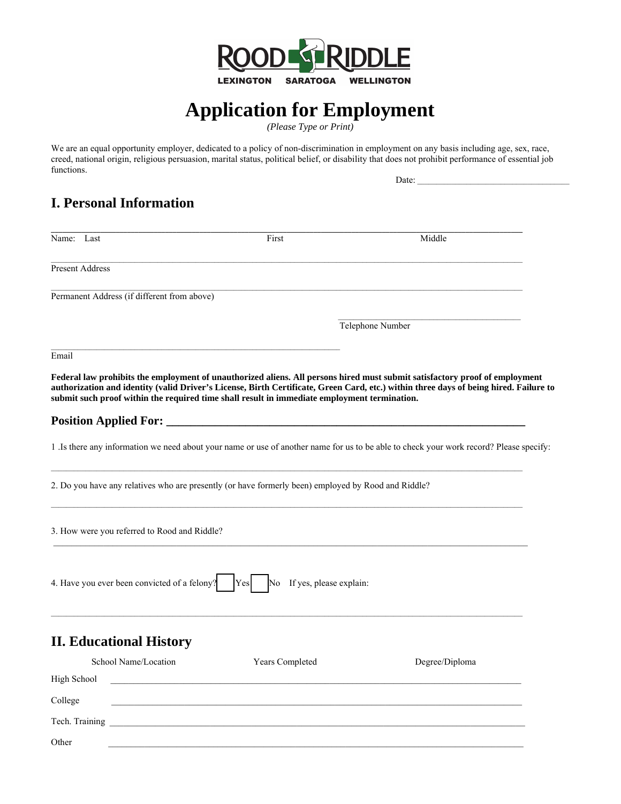

# **Application for Employment**

*(Please Type or Print)* 

We are an equal opportunity employer, dedicated to a policy of non-discrimination in employment on any basis including age, sex, race, creed, national origin, religious persuasion, marital status, political belief, or disability that does not prohibit performance of essential job functions. Date: \_\_\_\_\_\_\_\_\_\_\_\_\_\_\_\_\_\_\_\_\_\_\_\_\_\_\_\_\_\_\_\_\_\_\_\_\_\_\_\_

### **I. Personal Information**

| Name: Last                                                                                          | First                                    | Middle                                                                                                                                                                                                                                                               |
|-----------------------------------------------------------------------------------------------------|------------------------------------------|----------------------------------------------------------------------------------------------------------------------------------------------------------------------------------------------------------------------------------------------------------------------|
| <b>Present Address</b>                                                                              |                                          |                                                                                                                                                                                                                                                                      |
| Permanent Address (if different from above)                                                         |                                          |                                                                                                                                                                                                                                                                      |
|                                                                                                     |                                          | Telephone Number                                                                                                                                                                                                                                                     |
|                                                                                                     |                                          |                                                                                                                                                                                                                                                                      |
| Email                                                                                               |                                          |                                                                                                                                                                                                                                                                      |
| submit such proof within the required time shall result in immediate employment termination.        |                                          | Federal law prohibits the employment of unauthorized aliens. All persons hired must submit satisfactory proof of employment<br>authorization and identity (valid Driver's License, Birth Certificate, Green Card, etc.) within three days of being hired. Failure to |
|                                                                                                     |                                          |                                                                                                                                                                                                                                                                      |
|                                                                                                     |                                          | 1. Is there any information we need about your name or use of another name for us to be able to check your work record? Please specify:                                                                                                                              |
| 2. Do you have any relatives who are presently (or have formerly been) employed by Rood and Riddle? |                                          |                                                                                                                                                                                                                                                                      |
| 3. How were you referred to Rood and Riddle?                                                        |                                          |                                                                                                                                                                                                                                                                      |
| 4. Have you ever been convicted of a felony?                                                        | No If yes, please explain:<br><b>Yes</b> |                                                                                                                                                                                                                                                                      |
| <b>II. Educational History</b>                                                                      |                                          |                                                                                                                                                                                                                                                                      |
| School Name/Location                                                                                | Years Completed                          | Degree/Diploma                                                                                                                                                                                                                                                       |
| High School                                                                                         |                                          |                                                                                                                                                                                                                                                                      |
| College                                                                                             |                                          |                                                                                                                                                                                                                                                                      |
| Tech. Training                                                                                      |                                          |                                                                                                                                                                                                                                                                      |
| Other                                                                                               |                                          |                                                                                                                                                                                                                                                                      |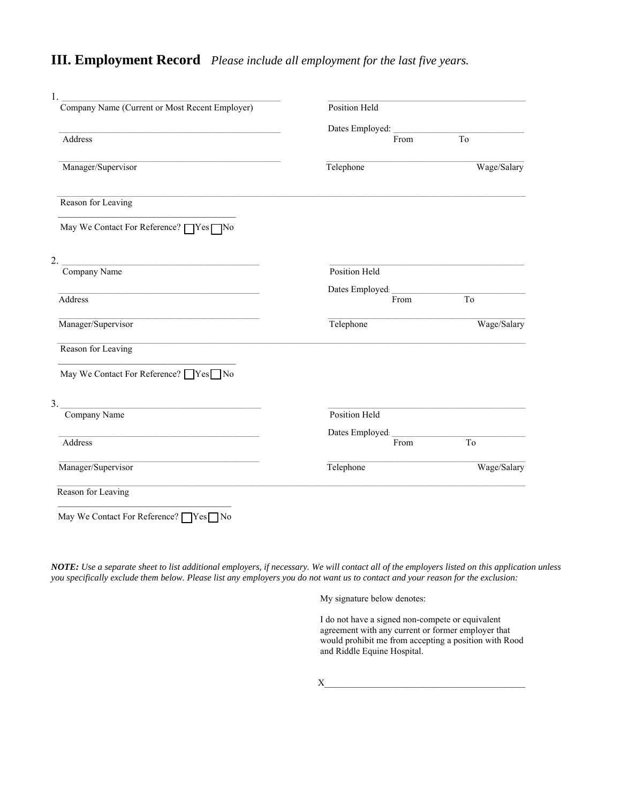#### **III. Employment Record** *Please include all employment for the last five years.*

| 1.<br>Company Name (Current or Most Recent Employer) | Position Held           |                 |
|------------------------------------------------------|-------------------------|-----------------|
|                                                      |                         |                 |
| Address                                              | Dates Employed:<br>From | $\overline{To}$ |
| Manager/Supervisor                                   | Telephone               | Wage/Salary     |
| Reason for Leaving                                   |                         |                 |
| May We Contact For Reference? TYes TNo               |                         |                 |
| 2.                                                   |                         |                 |
| Company Name                                         | Position Held           |                 |
| Address                                              | Dates Employed:<br>From | To              |
| Manager/Supervisor                                   | Telephone               | Wage/Salary     |
| Reason for Leaving                                   |                         |                 |
| May We Contact For Reference? $\Box$ Yes $\Box$ No   |                         |                 |
| 3.                                                   |                         |                 |
| Company Name                                         | Position Held           |                 |
|                                                      | Dates Employed:         |                 |
| Address                                              | From                    | To              |
| Manager/Supervisor                                   | Telephone               | Wage/Salary     |
| Reason for Leaving                                   |                         |                 |
| May We Contact For Reference? TYes                   |                         |                 |

*NOTE: Use a separate sheet to list additional employers, if necessary. We will contact all of the employers listed on this application unless you specifically exclude them below. Please list any employers you do not want us to contact and your reason for the exclusion:*

My signature below denotes:

 I do not have a signed non-compete or equivalent agreement with any current or former employer that would prohibit me from accepting a position with Rood and Riddle Equine Hospital.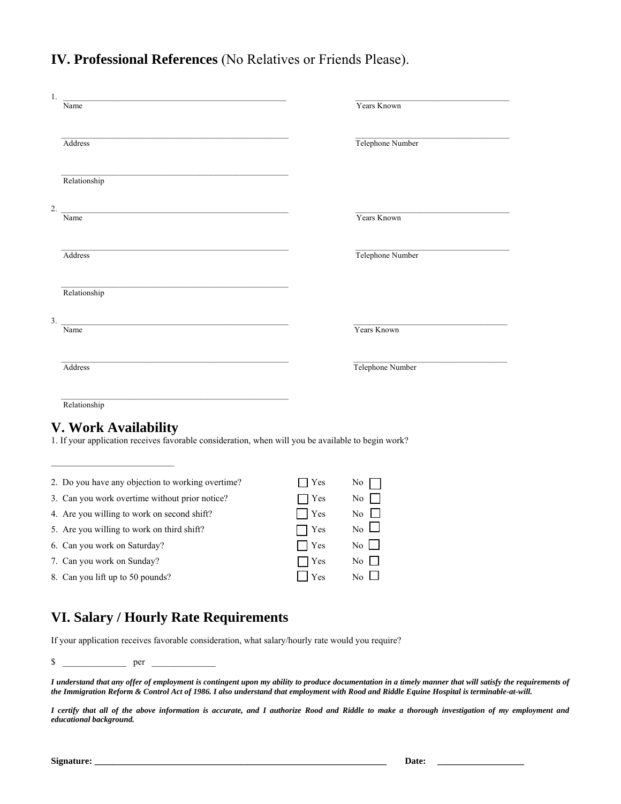#### **IV. Professional References** (No Relatives or Friends Please).

| 1. |                                                                                                    |     |                  |
|----|----------------------------------------------------------------------------------------------------|-----|------------------|
|    | Name                                                                                               |     | Years Known      |
|    |                                                                                                    |     |                  |
|    |                                                                                                    |     | Telephone Number |
|    | Address                                                                                            |     |                  |
|    |                                                                                                    |     |                  |
|    | Relationship                                                                                       |     |                  |
|    |                                                                                                    |     |                  |
| 2. |                                                                                                    |     |                  |
|    | Name                                                                                               |     | Years Known      |
|    |                                                                                                    |     |                  |
|    |                                                                                                    |     |                  |
|    | Address                                                                                            |     | Telephone Number |
|    |                                                                                                    |     |                  |
|    | Relationship                                                                                       |     |                  |
|    |                                                                                                    |     |                  |
| 3. |                                                                                                    |     |                  |
|    | Name                                                                                               |     | Years Known      |
|    |                                                                                                    |     |                  |
|    |                                                                                                    |     |                  |
|    | Address                                                                                            |     | Telephone Number |
|    |                                                                                                    |     |                  |
|    | Relationship                                                                                       |     |                  |
|    |                                                                                                    |     |                  |
|    | <b>V. Work Availability</b>                                                                        |     |                  |
|    | 1. If your application receives favorable consideration, when will you be available to begin work? |     |                  |
|    |                                                                                                    |     |                  |
|    |                                                                                                    |     |                  |
|    | 2. Do you have any objection to working overtime?                                                  | Yes | No               |
|    | 3. Can you work overtime without prior notice?                                                     | Yes | No               |
|    | 4. Are you willing to work on second shift?                                                        | Yes | No               |

5. Are you willing to work on third shift?  $\Box$  Yes No  $\Box$ 

| 6. Can you work on Saturday? |  |
|------------------------------|--|
|------------------------------|--|

|  | 7. Can you work on Sunday? |  | $\Box$ Yes | No |
|--|----------------------------|--|------------|----|
|--|----------------------------|--|------------|----|

8. Can you lift up to 50 pounds?  $\Box$  Yes No  $\Box$ 

## **VI. Salary / Hourly Rate Requirements**

If your application receives favorable consideration, what salary/hourly rate would you require?

 $\sqrt[3]{}$   $\qquad \qquad$  per \_

*I understand that any offer of employment is contingent upon my ability to produce documentation in a timely manner that will satisfy the requirements of the Immigration Reform & Control Act of 1986. I also understand that employment with Rood and Riddle Equine Hospital is terminable-at-will.* 

 $\Box$  Yes No

*I certify that all of the above information is accurate, and I authorize Rood and Riddle to make a thorough investigation of my employment and educational background.*